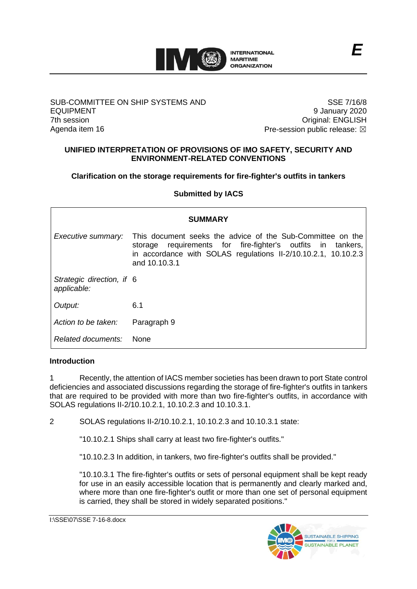

### SUB-COMMITTEE ON SHIP SYSTEMS AND EQUIPMENT 7th session Agenda item 16

SSE 7/16/8 9 January 2020 Original: ENGLISH Pre-session public release:  $\boxtimes$ 

# **UNIFIED INTERPRETATION OF PROVISIONS OF IMO SAFETY, SECURITY AND ENVIRONMENT-RELATED CONVENTIONS**

**Clarification on the storage requirements for fire-fighter's outfits in tankers**

**Submitted by IACS**

| <b>SUMMARY</b>                           |                                                                                                                                                                                                              |
|------------------------------------------|--------------------------------------------------------------------------------------------------------------------------------------------------------------------------------------------------------------|
| Executive summary:                       | This document seeks the advice of the Sub-Committee on the<br>storage requirements for fire-fighter's outfits in tankers,<br>in accordance with SOLAS regulations II-2/10.10.2.1, 10.10.2.3<br>and 10.10.3.1 |
| Strategic direction, if 6<br>applicable: |                                                                                                                                                                                                              |
| Output:                                  | 6.1                                                                                                                                                                                                          |
| Action to be taken:                      | Paragraph 9                                                                                                                                                                                                  |
| Related documents:                       | <b>None</b>                                                                                                                                                                                                  |

# **Introduction**

1 Recently, the attention of IACS member societies has been drawn to port State control deficiencies and associated discussions regarding the storage of fire-fighter's outfits in tankers that are required to be provided with more than two fire-fighter's outfits, in accordance with SOLAS regulations II-2/10.10.2.1, 10.10.2.3 and 10.10.3.1.

2 SOLAS regulations II-2/10.10.2.1, 10.10.2.3 and 10.10.3.1 state:

"10.10.2.1 Ships shall carry at least two fire-fighter's outfits."

"10.10.2.3 In addition, in tankers, two fire-fighter's outfits shall be provided."

"10.10.3.1 The fire-fighter's outfits or sets of personal equipment shall be kept ready for use in an easily accessible location that is permanently and clearly marked and, where more than one fire-fighter's outfit or more than one set of personal equipment is carried, they shall be stored in widely separated positions."